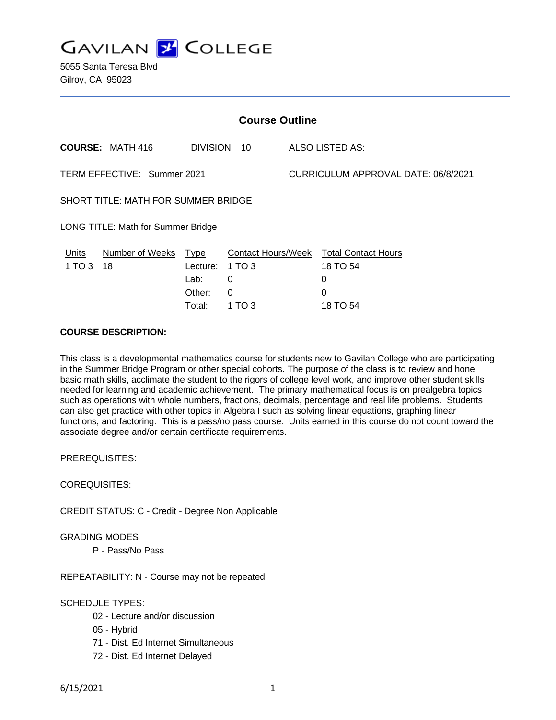**GAVILAN 2 COLLEGE** 

5055 Santa Teresa Blvd Gilroy, CA 95023

| <b>Course Outline</b>                      |                         |                                                     |                                                                |                                     |                                                                     |
|--------------------------------------------|-------------------------|-----------------------------------------------------|----------------------------------------------------------------|-------------------------------------|---------------------------------------------------------------------|
|                                            | <b>COURSE: MATH 416</b> | DIVISION: 10                                        |                                                                |                                     | ALSO LISTED AS:                                                     |
| TERM EFFECTIVE: Summer 2021                |                         |                                                     |                                                                | CURRICULUM APPROVAL DATE: 06/8/2021 |                                                                     |
| <b>SHORT TITLE: MATH FOR SUMMER BRIDGE</b> |                         |                                                     |                                                                |                                     |                                                                     |
| LONG TITLE: Math for Summer Bridge         |                         |                                                     |                                                                |                                     |                                                                     |
| Units<br>1 TO 3                            | Number of Weeks<br>- 18 | <b>Type</b><br>Lecture:<br>Lab:<br>Other:<br>Total: | <b>Contact Hours/Week</b><br>1 TO 3<br>0<br>$\Omega$<br>1 TO 3 |                                     | <b>Total Contact Hours</b><br>18 TO 54<br>0<br>$\Omega$<br>18 TO 54 |

# **COURSE DESCRIPTION:**

This class is a developmental mathematics course for students new to Gavilan College who are participating in the Summer Bridge Program or other special cohorts. The purpose of the class is to review and hone basic math skills, acclimate the student to the rigors of college level work, and improve other student skills needed for learning and academic achievement. The primary mathematical focus is on prealgebra topics such as operations with whole numbers, fractions, decimals, percentage and real life problems. Students can also get practice with other topics in Algebra I such as solving linear equations, graphing linear functions, and factoring. This is a pass/no pass course. Units earned in this course do not count toward the associate degree and/or certain certificate requirements.

PREREQUISITES:

COREQUISITES:

CREDIT STATUS: C - Credit - Degree Non Applicable

GRADING MODES

P - Pass/No Pass

REPEATABILITY: N - Course may not be repeated

SCHEDULE TYPES:

- 02 Lecture and/or discussion
- 05 Hybrid
- 71 Dist. Ed Internet Simultaneous
- 72 Dist. Ed Internet Delayed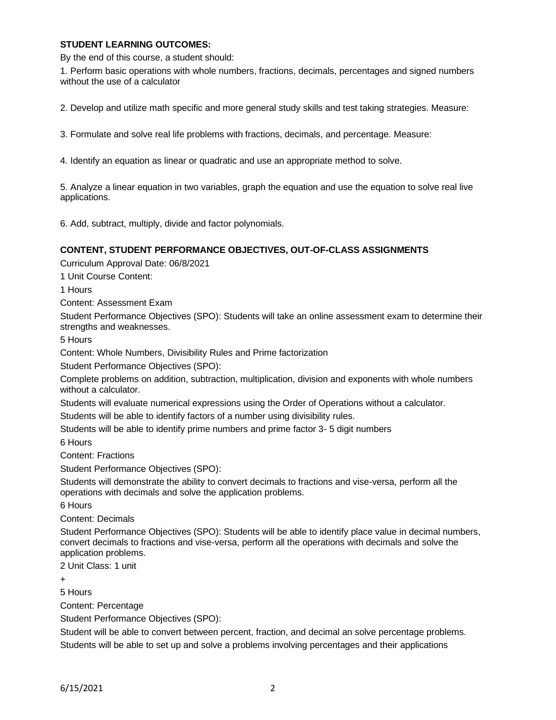### **STUDENT LEARNING OUTCOMES:**

By the end of this course, a student should:

1. Perform basic operations with whole numbers, fractions, decimals, percentages and signed numbers without the use of a calculator

2. Develop and utilize math specific and more general study skills and test taking strategies. Measure:

3. Formulate and solve real life problems with fractions, decimals, and percentage. Measure:

4. Identify an equation as linear or quadratic and use an appropriate method to solve.

5. Analyze a linear equation in two variables, graph the equation and use the equation to solve real live applications.

6. Add, subtract, multiply, divide and factor polynomials.

#### **CONTENT, STUDENT PERFORMANCE OBJECTIVES, OUT-OF-CLASS ASSIGNMENTS**

Curriculum Approval Date: 06/8/2021

1 Unit Course Content:

1 Hours

Content: Assessment Exam

Student Performance Objectives (SPO): Students will take an online assessment exam to determine their strengths and weaknesses.

5 Hours

Content: Whole Numbers, Divisibility Rules and Prime factorization

Student Performance Objectives (SPO):

Complete problems on addition, subtraction, multiplication, division and exponents with whole numbers without a calculator.

Students will evaluate numerical expressions using the Order of Operations without a calculator. Students will be able to identify factors of a number using divisibility rules.

Students will be able to identify prime numbers and prime factor 3- 5 digit numbers

6 Hours

Content: Fractions

Student Performance Objectives (SPO):

Students will demonstrate the ability to convert decimals to fractions and vise-versa, perform all the operations with decimals and solve the application problems.

6 Hours

Content: Decimals

Student Performance Objectives (SPO): Students will be able to identify place value in decimal numbers, convert decimals to fractions and vise-versa, perform all the operations with decimals and solve the application problems.

2 Unit Class: 1 unit

 $\overline{+}$ 

5 Hours

Content: Percentage

Student Performance Objectives (SPO):

Student will be able to convert between percent, fraction, and decimal an solve percentage problems. Students will be able to set up and solve a problems involving percentages and their applications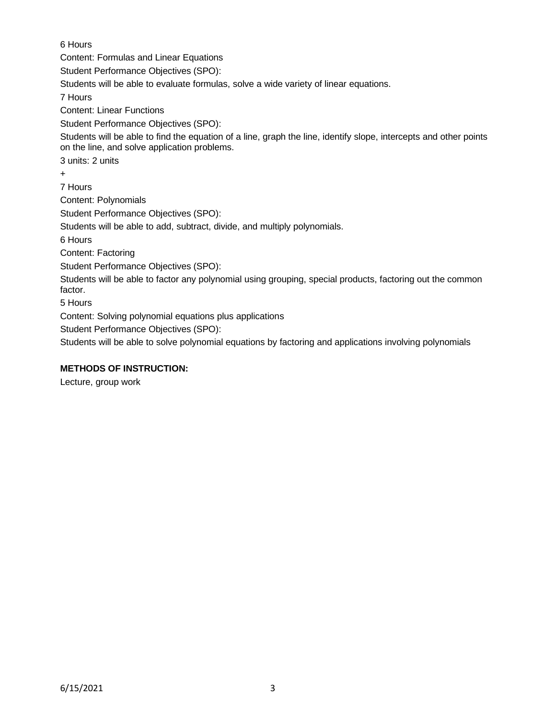6 Hours Content: Formulas and Linear Equations Student Performance Objectives (SPO): Students will be able to evaluate formulas, solve a wide variety of linear equations. 7 Hours Content: Linear Functions Student Performance Objectives (SPO): Students will be able to find the equation of a line, graph the line, identify slope, intercepts and other points on the line, and solve application problems. 3 units: 2 units + 7 Hours Content: Polynomials Student Performance Objectives (SPO): Students will be able to add, subtract, divide, and multiply polynomials. 6 Hours Content: Factoring Student Performance Objectives (SPO): Students will be able to factor any polynomial using grouping, special products, factoring out the common factor. 5 Hours Content: Solving polynomial equations plus applications

Student Performance Objectives (SPO):

Students will be able to solve polynomial equations by factoring and applications involving polynomials

### **METHODS OF INSTRUCTION:**

Lecture, group work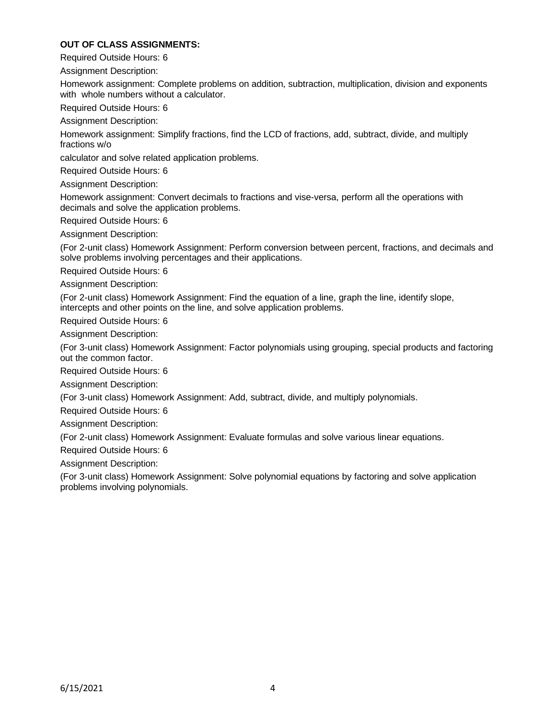## **OUT OF CLASS ASSIGNMENTS:**

Required Outside Hours: 6

Assignment Description:

Homework assignment: Complete problems on addition, subtraction, multiplication, division and exponents with whole numbers without a calculator.

Required Outside Hours: 6

Assignment Description:

Homework assignment: Simplify fractions, find the LCD of fractions, add, subtract, divide, and multiply fractions w/o

calculator and solve related application problems.

Required Outside Hours: 6

Assignment Description:

Homework assignment: Convert decimals to fractions and vise-versa, perform all the operations with decimals and solve the application problems.

Required Outside Hours: 6

Assignment Description:

(For 2-unit class) Homework Assignment: Perform conversion between percent, fractions, and decimals and solve problems involving percentages and their applications.

Required Outside Hours: 6

Assignment Description:

(For 2-unit class) Homework Assignment: Find the equation of a line, graph the line, identify slope, intercepts and other points on the line, and solve application problems.

Required Outside Hours: 6

Assignment Description:

(For 3-unit class) Homework Assignment: Factor polynomials using grouping, special products and factoring out the common factor.

Required Outside Hours: 6

Assignment Description:

(For 3-unit class) Homework Assignment: Add, subtract, divide, and multiply polynomials.

Required Outside Hours: 6

Assignment Description:

(For 2-unit class) Homework Assignment: Evaluate formulas and solve various linear equations.

Required Outside Hours: 6

Assignment Description:

(For 3-unit class) Homework Assignment: Solve polynomial equations by factoring and solve application problems involving polynomials.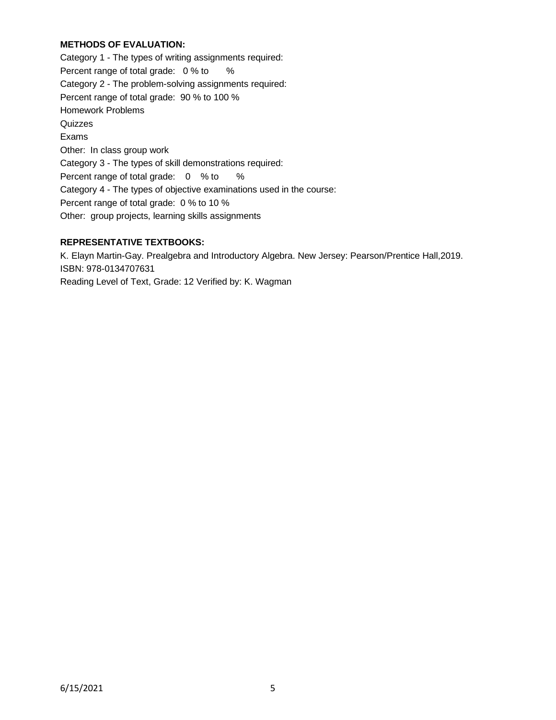## **METHODS OF EVALUATION:**

Category 1 - The types of writing assignments required: Percent range of total grade: 0 % to % Category 2 - The problem-solving assignments required: Percent range of total grade: 90 % to 100 % Homework Problems **Quizzes** Exams Other: In class group work Category 3 - The types of skill demonstrations required: Percent range of total grade: 0 % to % Category 4 - The types of objective examinations used in the course: Percent range of total grade: 0 % to 10 % Other: group projects, learning skills assignments

# **REPRESENTATIVE TEXTBOOKS:**

K. Elayn Martin-Gay. Prealgebra and Introductory Algebra. New Jersey: Pearson/Prentice Hall,2019. ISBN: 978-0134707631 Reading Level of Text, Grade: 12 Verified by: K. Wagman